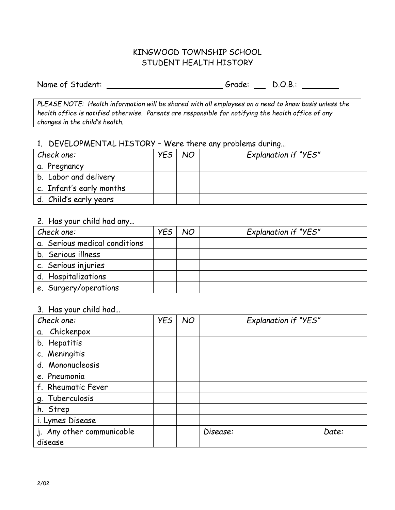### KINGWOOD TOWNSHIP SCHOOL STUDENT HEALTH HISTORY

Name of Student: Camera Controller Controller Controller Controller D.O.B.: Camera Controller Controller Controller Controller Controller Controller Controller Controller Controller Controller Controller Controller Control

*PLEASE NOTE: Health information will be shared with all employees on a need to know basis unless the health office is notified otherwise. Parents are responsible for notifying the health office of any changes in the child's health.*

#### 1. DEVELOPMENTAL HISTORY – Were there any problems during…

| Check one:               | <b>YES</b> | NO | <b>Explanation if "YES"</b> |
|--------------------------|------------|----|-----------------------------|
| a. Pregnancy             |            |    |                             |
| b. Labor and delivery    |            |    |                             |
| c. Infant's early months |            |    |                             |
| d. Child's early years   |            |    |                             |

## 2. Has your child had any…

| Check one:                    | <b>YES</b> | NO | <b>Explanation if "YES"</b> |
|-------------------------------|------------|----|-----------------------------|
| a. Serious medical conditions |            |    |                             |
| b. Serious illness            |            |    |                             |
| c. Serious injuries           |            |    |                             |
| d. Hospitalizations           |            |    |                             |
| e. Surgery/operations         |            |    |                             |

### 3. Has your child had…

| Check one:                | <b>YES</b> | NO | <b>Explanation if "YES"</b> |
|---------------------------|------------|----|-----------------------------|
| a. Chickenpox             |            |    |                             |
| b. Hepatitis              |            |    |                             |
| c. Meningitis             |            |    |                             |
| d. Mononucleosis          |            |    |                             |
| e. Pneumonia              |            |    |                             |
| f. Rheumatic Fever        |            |    |                             |
| g. Tuberculosis           |            |    |                             |
| h. Strep                  |            |    |                             |
| i. Lymes Disease          |            |    |                             |
| j. Any other communicable |            |    | Disease:<br>Date:           |
| disease                   |            |    |                             |